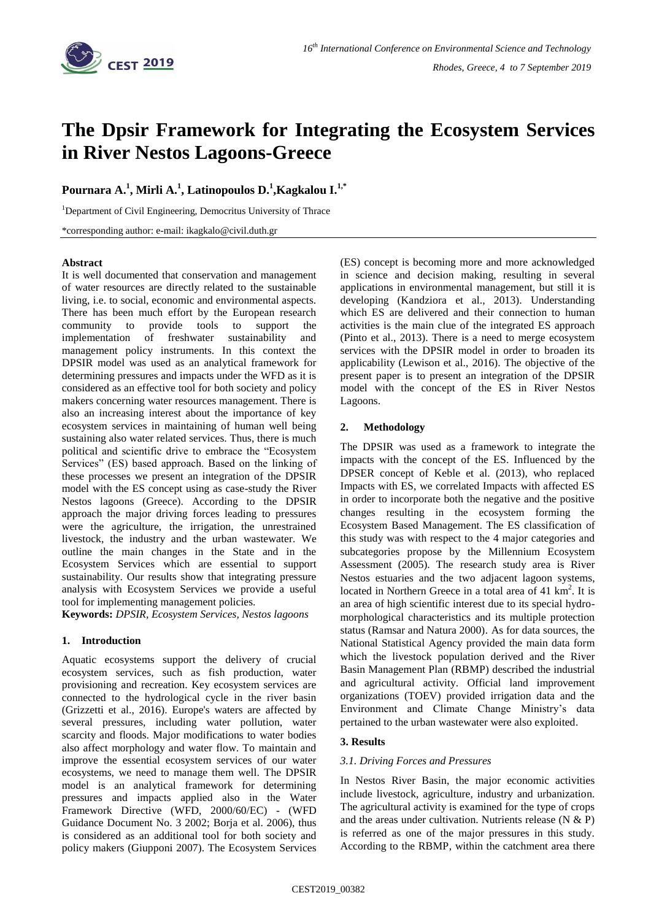

# **The Dpsir Framework for Integrating the Ecosystem Services in River Nestos Lagoons-Greece**

# **Pournara A.<sup>1</sup> , Mirli A.<sup>1</sup> , Latinopoulos D. 1 ,Kagkalou I. 1,\***

<sup>1</sup>Department of Civil Engineering, Democritus University of Thrace

\*corresponding author: e-mail: ikagkalo@civil.duth.gr

#### **Abstract**

It is well documented that conservation and management of water resources are directly related to the sustainable living, i.e. to social, economic and environmental aspects. There has been much effort by the European research community to provide tools to support the implementation of freshwater sustainability and management policy instruments. In this context the DPSIR model was used as an analytical framework for determining pressures and impacts under the WFD as it is considered as an effective tool for both society and policy makers concerning water resources management. There is also an increasing interest about the importance of key ecosystem services in maintaining of human well being sustaining also water related services. Thus, there is much political and scientific drive to embrace the "Ecosystem Services" (ES) based approach. Based on the linking of these processes we present an integration of the DPSIR model with the ES concept using as case-study the River Nestos lagoons (Greece). According to the DPSIR approach the major driving forces leading to pressures were the agriculture, the irrigation, the unrestrained livestock, the industry and the urban wastewater. We outline the main changes in the State and in the Ecosystem Services which are essential to support sustainability. Our results show that integrating pressure analysis with Ecosystem Services we provide a useful tool for implementing management policies.

**Keywords:** *DPSIR, Ecosystem Services, Nestos lagoons*

# **1. Introduction**

Aquatic ecosystems support the delivery of crucial ecosystem services, such as fish production, water provisioning and recreation. Key ecosystem services are connected to the hydrological cycle in the river basin (Grizzetti et al., 2016). Europe's waters are affected by several pressures, including water pollution, water scarcity and floods. Major modifications to water bodies also affect morphology and water flow. To maintain and improve the essential ecosystem services of our water ecosystems, we need to manage them well. The DPSIR model is an analytical framework for determining pressures and impacts applied also in the Water Framework Directive (WFD, 2000/60/ΕC) - (WFD Guidance Document No. 3 2002; Borja et al. 2006), thus is considered as an additional tool for both society and policy makers (Giupponi 2007). The Ecosystem Services (ES) concept is becoming more and more acknowledged in science and decision making, resulting in several applications in environmental management, but still it is developing (Kandziora et al., 2013). Understanding which ES are delivered and their connection to human activities is the main clue of the integrated ES approach (Pinto et al., 2013). There is a need to merge ecosystem services with the DPSIR model in order to broaden its applicability (Lewison et al., 2016). The objective of the present paper is to present an integration of the DPSIR model with the concept of the ES in River Nestos Lagoons.

# **2. Methodology**

The DPSIR was used as a framework to integrate the impacts with the concept of the ES. Influenced by the DPSER concept of Keble et al. (2013), who replaced Impacts with ES, we correlated Impacts with affected ES in order to incorporate both the negative and the positive changes resulting in the ecosystem forming the Ecosystem Based Management. The ES classification of this study was with respect to the 4 major categories and subcategories propose by the Millennium Ecosystem Assessment (2005). The research study area is River Nestos estuaries and the two adjacent lagoon systems, located in Northern Greece in a total area of 41 km<sup>2</sup>. It is an area of high scientific interest due to its special hydromorphological characteristics and its multiple protection status (Ramsar and Natura 2000). As for data sources, the National Statistical Agency provided the main data form which the livestock population derived and the River Basin Management Plan (RBMP) described the industrial and agricultural activity. Official land improvement organizations (TOEV) provided irrigation data and the Environment and Climate Change Ministry's data pertained to the urban wastewater were also exploited.

# **3. Results**

# *3.1. Driving Forces and Pressures*

In Nestos River Basin, the major economic activities include livestock, agriculture, industry and urbanization. The agricultural activity is examined for the type of crops and the areas under cultivation. Nutrients release  $(N & R)$ is referred as one of the major pressures in this study. According to the RBMP, within the catchment area there